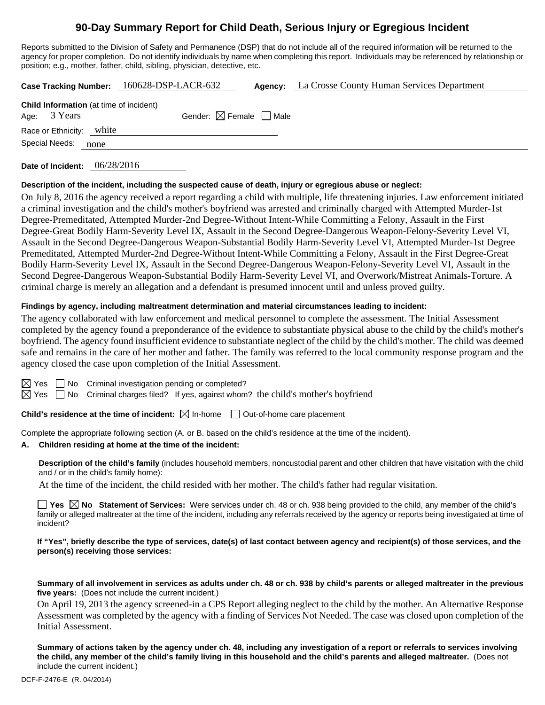# **90-Day Summary Report for Child Death, Serious Injury or Egregious Incident**

Reports submitted to the Division of Safety and Permanence (DSP) that do not include all of the required information will be returned to the agency for proper completion. Do not identify individuals by name when completing this report. Individuals may be referenced by relationship or position; e.g., mother, father, child, sibling, physician, detective, etc.

|                                                                | Case Tracking Number: 160628-DSP-LACR-632 | Agency: | La Crosse County Human Services Department |
|----------------------------------------------------------------|-------------------------------------------|---------|--------------------------------------------|
| <b>Child Information</b> (at time of incident)<br>Age: 3 Years | Gender: $\boxtimes$ Female $\Box$ Male    |         |                                            |
| Race or Ethnicity: white                                       |                                           |         |                                            |
| Special Needs:<br>none                                         |                                           |         |                                            |
|                                                                |                                           |         |                                            |

**Date of Incident:** 06/28/2016

# **Description of the incident, including the suspected cause of death, injury or egregious abuse or neglect:**

On July 8, 2016 the agency received a report regarding a child with multiple, life threatening injuries. Law enforcement initiated a criminal investigation and the child's mother's boyfriend was arrested and criminally charged with Attempted Murder-1st Degree-Premeditated, Attempted Murder-2nd Degree-Without Intent-While Committing a Felony, Assault in the First Degree-Great Bodily Harm-Severity Level IX, Assault in the Second Degree-Dangerous Weapon-Felony-Severity Level VI, Assault in the Second Degree-Dangerous Weapon-Substantial Bodily Harm-Severity Level VI, Attempted Murder-1st Degree Premeditated, Attempted Murder-2nd Degree-Without Intent-While Committing a Felony, Assault in the First Degree-Great Bodily Harm-Severity Level IX, Assault in the Second Degree-Dangerous Weapon-Felony-Severity Level VI, Assault in the Second Degree-Dangerous Weapon-Substantial Bodily Harm-Severity Level VI, and Overwork/Mistreat Animals-Torture. A criminal charge is merely an allegation and a defendant is presumed innocent until and unless proved guilty.

# **Findings by agency, including maltreatment determination and material circumstances leading to incident:**

The agency collaborated with law enforcement and medical personnel to complete the assessment. The Initial Assessment completed by the agency found a preponderance of the evidence to substantiate physical abuse to the child by the child's mother's boyfriend. The agency found insufficient evidence to substantiate neglect of the child by the child's mother. The child was deemed safe and remains in the care of her mother and father. The family was referred to the local community response program and the agency closed the case upon completion of the Initial Assessment.

| ۰, |
|----|
|    |

 $\Box$  No Criminal investigation pending or completed?

 $\boxtimes$  Yes  $\Box$  No Criminal charges filed? If yes, against whom? the child's mother's boyfriend

**Child's residence at the time of incident:**  $\boxtimes$  In-home  $\Box$  Out-of-home care placement

Complete the appropriate following section (A. or B. based on the child's residence at the time of the incident).

# **A. Children residing at home at the time of the incident:**

**Description of the child's family** (includes household members, noncustodial parent and other children that have visitation with the child and / or in the child's family home):

At the time of the incident, the child resided with her mother. The child's father had regular visitation.

■ Yes **No** Statement of Services: Were services under ch. 48 or ch. 938 being provided to the child, any member of the child's family or alleged maltreater at the time of the incident, including any referrals received by the agency or reports being investigated at time of incident?

## **If "Yes", briefly describe the type of services, date(s) of last contact between agency and recipient(s) of those services, and the person(s) receiving those services:**

**Summary of all involvement in services as adults under ch. 48 or ch. 938 by child's parents or alleged maltreater in the previous five years:** (Does not include the current incident.)

On April 19, 2013 the agency screened-in a CPS Report alleging neglect to the child by the mother. An Alternative Response Assessment was completed by the agency with a finding of Services Not Needed. The case was closed upon completion of the Initial Assessment.

**Summary of actions taken by the agency under ch. 48, including any investigation of a report or referrals to services involving the child, any member of the child's family living in this household and the child's parents and alleged maltreater.** (Does not include the current incident.)